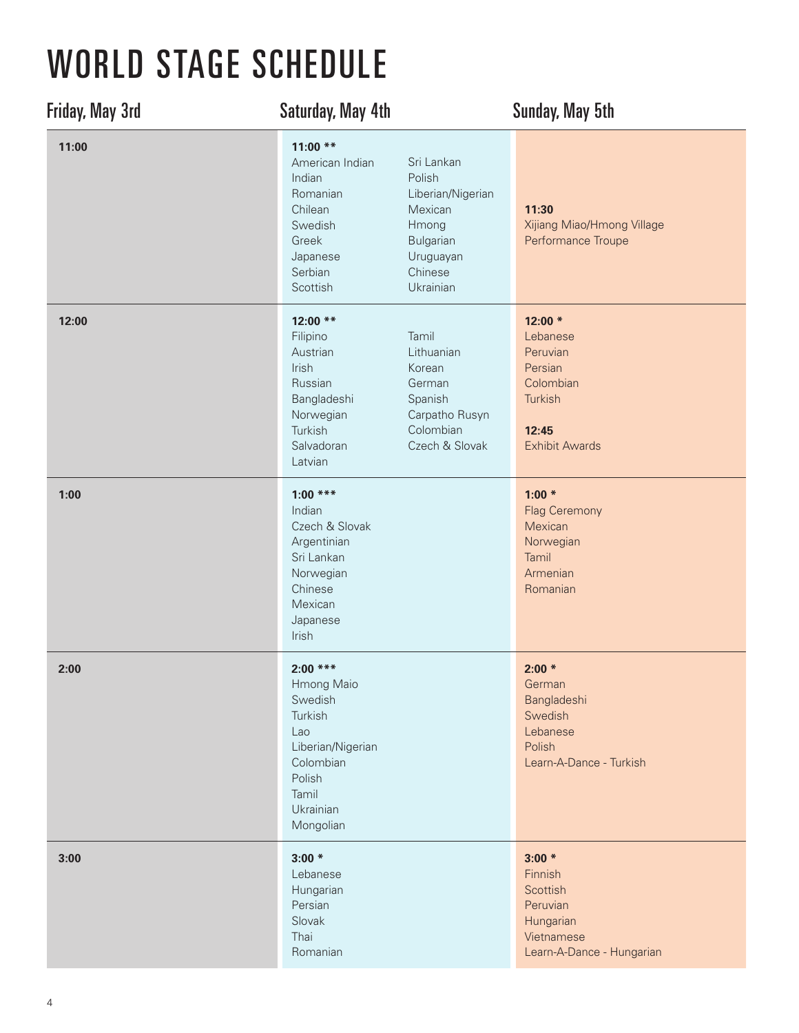## WORLD STAGE SCHEDULE

| <b>Friday, May 3rd</b> | <b>Saturday, May 4th</b>                                                                                                                                                                                                                 | <b>Sunday, May 5th</b>                                                                                |
|------------------------|------------------------------------------------------------------------------------------------------------------------------------------------------------------------------------------------------------------------------------------|-------------------------------------------------------------------------------------------------------|
| 11:00                  | $11:00$ **<br>American Indian<br>Sri Lankan<br>Indian<br>Polish<br>Romanian<br>Liberian/Nigerian<br>Chilean<br>Mexican<br>Swedish<br>Hmong<br>Greek<br>Bulgarian<br>Uruguayan<br>Japanese<br>Serbian<br>Chinese<br>Ukrainian<br>Scottish | 11:30<br>Xijiang Miao/Hmong Village<br>Performance Troupe                                             |
| 12:00                  | 12:00 **<br>Tamil<br>Filipino<br>Lithuanian<br>Austrian<br>Irish<br>Korean<br>Russian<br>German<br>Bangladeshi<br>Spanish<br>Carpatho Rusyn<br>Norwegian<br>Turkish<br>Colombian<br>Czech & Slovak<br>Salvadoran<br>Latvian              | $12:00*$<br>Lebanese<br>Peruvian<br>Persian<br>Colombian<br>Turkish<br>12:45<br><b>Exhibit Awards</b> |
| 1:00                   | $1:00$ ***<br>Indian<br>Czech & Slovak<br>Argentinian<br>Sri Lankan<br>Norwegian<br>Chinese<br>Mexican<br>Japanese<br>Irish                                                                                                              | $1:00*$<br><b>Flag Ceremony</b><br>Mexican<br>Norwegian<br>Tamil<br>Armenian<br>Romanian              |
| 2:00                   | $2:00$ ***<br>Hmong Maio<br>Swedish<br>Turkish<br>Lao<br>Liberian/Nigerian<br>Colombian<br>Polish<br>Tamil<br>Ukrainian<br>Mongolian                                                                                                     | $2:00*$<br>German<br>Bangladeshi<br>Swedish<br>Lebanese<br>Polish<br>Learn-A-Dance - Turkish          |
| 3:00                   | $3:00*$<br>Lebanese<br>Hungarian<br>Persian<br>Slovak<br>Thai<br>Romanian                                                                                                                                                                | $3:00*$<br>Finnish<br>Scottish<br>Peruvian<br>Hungarian<br>Vietnamese<br>Learn-A-Dance - Hungarian    |